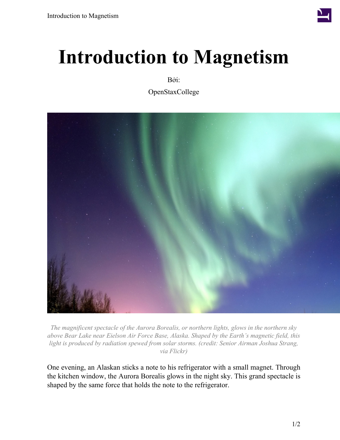

## **Introduction to Magnetism**

Bởi:

OpenStaxCollege



*The magnificent spectacle of the Aurora Borealis, or northern lights, glows in the northern sky above Bear Lake near Eielson Air Force Base, Alaska. Shaped by the Earth's magnetic field, this light is produced by radiation spewed from solar storms. (credit: Senior Airman Joshua Strang, via Flickr)*

One evening, an Alaskan sticks a note to his refrigerator with a small magnet. Through the kitchen window, the Aurora Borealis glows in the night sky. This grand spectacle is shaped by the same force that holds the note to the refrigerator.